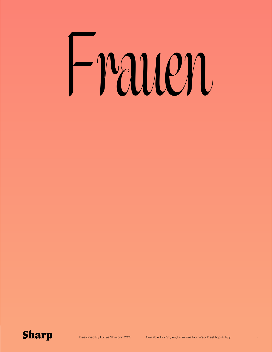# Frauen

#### **Sharp**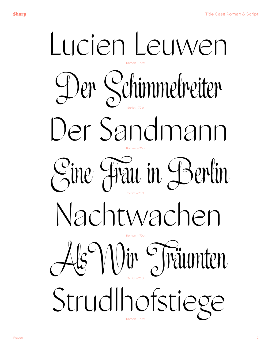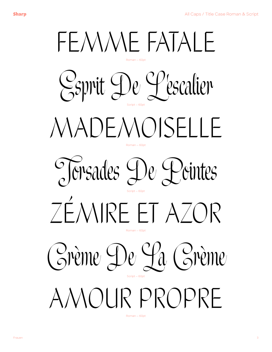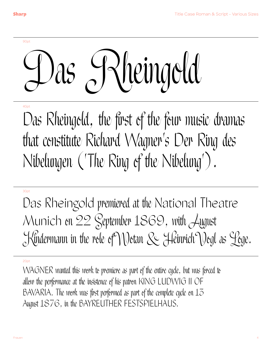90pt

## Das Rheingold

#### 40pt

Das Rheingold, the first of the four music dramas that constitute Richard Wagner's Der Ring des Nibelungen ('The Ring of the Nibelung').

#### 30pt

Das Rheingold premiered at the National Theatre Munich on 22 September 1869, with August Kindermann in the role of Wotan & Heinrich Vogl as Loge.

#### 20pt

WAGNER wanted this work to premiere as part of the entire cycle, but was forced to allow the performance at the insistence of his patron KING LUDWIG II OF BAVARIA. The work was first performed as part of the complete cycle on  $1\overline{5}$ August 1876, in the BAYREUTHER FESTSPIELHAUS.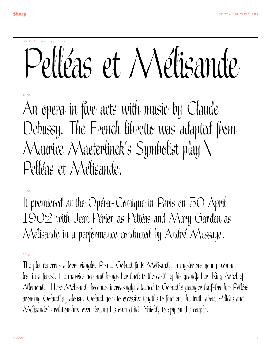### 90pt - Alternate Uppercase Pelléas et Mélisande

40pt

An opera in five acts with music by Claude Debussy. The French libretto was adapted from Maurice Maeterlinck's Symbolist play \ Pelléas et Mélisande.

#### 30pt

It premiered at the Opéra-Comique in Paris on  $\bar{z}$ O April 1902 with Jean Périer as Pelléas and Mary Garden as Mélisande in a performance conducted by André Message.

#### 20pt

The plot concerns a love triangle. Prince Golaud finds Mélisande, a mysterious young woman, lest in a ferest. He marries her and brings her back te the castle of his grandfather, King Arkel of Allemonde. Here Mélisande becomes increasingly attached to Golaud's younger half-brother Pelléas, arousing Golaud's jealousy. Golaud goes to excessive lengths to find out the truth about Pelléas and Mélisande's relationship, even forcing his own child, Yniold, to spy on the couple.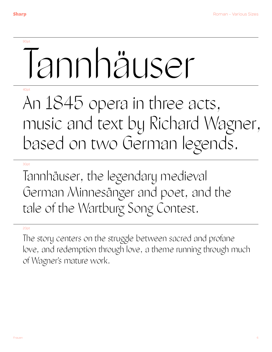#### 90pt

## Tannhäuser

#### $40<sub>0</sub>$

### An 1845 opera in three acts, music and text by Richard Wagner, based on two German legends.

#### 30pt

Tannhäuser, the legendary medieval German Minnesänger and poet, and the tale of the Wartburg Song Contest.

#### 20pt

The story centers on the struggle between sacred and profane love, and redemption through love, a theme running through much of Wagner's mature work.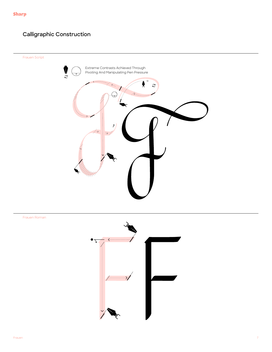#### **Calligraphic Construction**

Frauen Script





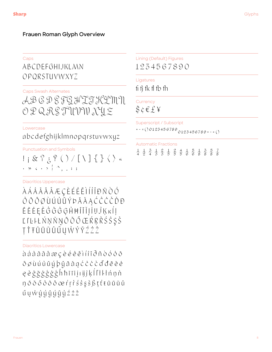#### Frauen Roman Glyph Overview

#### Caps

#### ABCDEFGHIJKLMN OPORSTUVWXYZ

#### **Caps Swash Alternates**

AB G D G F G H T T K L M N O P Q R S TUVW X L Z

#### Lowercase

#### abcdefghijklmnopqrstuvwxyz

**Punctuation and Symbols** 

 $\cdot$   $\rightarrow$   $\cdot$   $\cdot$   $\rightarrow$   $\cdot$   $\rightarrow$   $\cdot$   $\cdot$   $\rightarrow$   $\cdot$ 

**Diacritics Uppercase** 

*ÀÁÂÃÄÃÆÇÈÉËÈÎÍÎÏĐÑÒÓ*  $\hat{O}\tilde{O}\tilde{O}\tilde{O}\tilde{O}\tilde{O}\tilde{O}$ ĒĔĖĘĚĜĞĠĢĤĦĨĪĬĮİIJĴĶĸÍĮ ĽľĿŀŁŃŅŇŊŌŎŐŒŔŖŘŚŜŞŠ ŢŤŦŨŨŨŮŰŰŲŴŶŸŹŻŽ

**Diacritics Lowercase** 

àáâãäåæçèéêëìíîïðñòóôõ öøùúûüýþÿāăąćĉċčďđēĕė ę ě ĝ ğ ģ ģ ģ ģ ĥ ħ ĩ ī ĭ į ı ij ĵ ķ ĺ ľ ł ŀ ł ń ņ ň ŋōŏőôōöœŕŗřśŝşšßțťŧũūŭů 

Lining (Default) Figures 1234567890

Ligatures

fi fi fk fl fb fh

Currency  $\$$ ¢ $\in$  $\&$ ¥

Superscript / Subscript

 $+ - = (00125456789)0125456789 + - = ()$ 

**Automatic Fractions** 

 $\frac{1}{4}$   $\frac{1}{2}$   $\frac{5}{4}$   $\frac{1}{5}$   $\frac{2}{5}$   $\frac{1}{5}$   $\frac{2}{5}$   $\frac{4}{5}$   $\frac{1}{6}$   $\frac{5}{6}$   $\frac{1}{8}$   $\frac{3}{8}$   $\frac{5}{8}$   $\frac{7}{8}$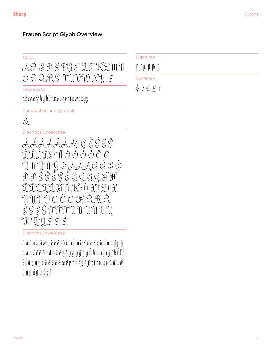#### **Frauen Script Glyph Overview**

| .<br>. .<br>. .<br>۰. | ٠       |
|-----------------------|---------|
| . .<br>___            | .<br>__ |

AB G D & FG H T T K L M N O P Q R S TUVW X L Z

Lowercase

abcdefghijklmnepqrstuvwxyz

**Punctuation and Symbols** 

#### $\&$

**Diacritics Uppercase** 



**Diacritics Lowercase** 

 $\lambda$   $\lambda$   $\lambda$   $\bar{\lambda}$   $\bar{\lambda}$   $\bar{\lambda}$   $\bar{\alpha}$   $\bar{\alpha}$   $\bar{\beta}$   $\varphi$   $\vartheta$   $\vartheta$   $\vartheta$   $\lambda$   $\vartheta$   $\bar{\lambda}$   $\bar{\alpha}$   $\bar{\beta}$   $\vartheta$   $\bar{\beta}$   $\bar{\beta}$   $\bar{\beta}$   $\bar{\gamma}$   $\bar{\gamma}$   $\vartheta$   $\bar{\gamma}$   $\vartheta$   $\bar{\gamma}$   $\vartheta$   $\bar{\gamma}$   $\bar{\gamma}$   $\bar$  $\tilde{a}$   $\tilde{a}$   $a$   $c$   $c$   $c$   $c$   $d$   $d$   $\tilde{e}$   $e$   $e$   $e$   $g$   $\tilde{g}$   $\tilde{g}$   $\tilde{g}$   $\tilde{g}$   $\tilde{h}$   $\tilde{h}$   $\tilde{t}$   $\tilde{t}$   $\tilde{t}$   $\tilde{t}$   $\tilde{t}$   $\tilde{t}$   $\tilde{t}$   $\tilde{t}$   $\tilde{t}$   $\tilde{t}$   $\tilde{t$  $\ell$  ( $\ell$ n  $\eta$ g  $\delta$   $\delta$   $\delta$   $\delta$   $\delta$   $\delta$   $\delta$   $\omega$   $\eta$   $\eta$   $\delta$   $\delta$   $\delta$   $\delta$   $\beta$   $\gamma$   $\ell$  t  $\eta$   $\eta$   $\eta$   $\eta$  $\hat{y}$   $\hat{y}$   $\hat{y}$   $\hat{y}$   $\hat{y}$   $\hat{y}$   $\hat{y}$   $\hat{z}$   $\hat{z}$   $\hat{z}$ 

Ligatures

 $\operatorname{\textsf{fi}}\operatorname{\textsf{fi}}\operatorname{\textsf{ft}}\operatorname{\textsf{ft}}\operatorname{\textsf{ft}}\operatorname{\textsf{fh}}$ 

Currency

 $\frac{1}{2}$   $\phi \in f$   $\neq$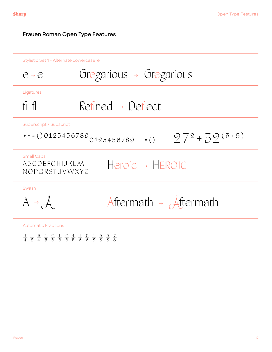#### **Frauen Roman Open Type Features**

Stylistic Set 1 - Alternate Lowercase 'e'

$$
e \rightarrow e
$$
 Gregarious  $\rightarrow$  Gregarious  
\n $f_1 f_1$  Refined  $\rightarrow$  Deflect  
\n $f_2 = (0.0125456789) 0125456789 + 1 = (0.0125456789) 0125456789 + 1 = (0.0125456789) 0125456789 + 1 = (0.0125456789) 0125456789 + 1 = (0.0125456789) 0125456789 + 1 = (0.0125456789) 0125456789 + 1 = (0.0125456789) 0125456789 + 1 = (0.0125456789) 0125456789 + 1 = (0.0125456789) 0125456789 + 1 = (0.0125456789) 0125456789 + 1 = (0.0125456789) 0125456789 + 1 = (0.0125456789) 0125456789 + 1 = (0.0125456789) 0125456789 + 1 = (0.0125456789) 0125456789 + 1 = (0.0125456789) 0125456789 + 1 = (0.0125456789) 0125456789 + 1 = (0.0125456789) 0125456789 + 1 = (0.0125456789) 0125456789 + 1 = (0.0125456789) 0125456789 + 1 = (0.0125456789) 0125456789 + 1 = (0.0125456789) 0125456789 + 1 = (0.0125456789) 0125456789 + 1 = (0.0125456789) 0125456789 + 1 = (0.0125456789) 0125456789 + 1 = (0.012545$ 

 $\frac{1}{4}$   $\frac{1}{2}$   $\frac{1}{4}$   $\frac{5}{2}$   $\frac{1}{4}$   $\frac{2}{5}$   $\frac{1}{5}$   $\frac{2}{5}$   $\frac{4}{5}$   $\frac{1}{5}$   $\frac{5}{6}$   $\frac{1}{6}$   $\frac{5}{8}$   $\frac{1}{8}$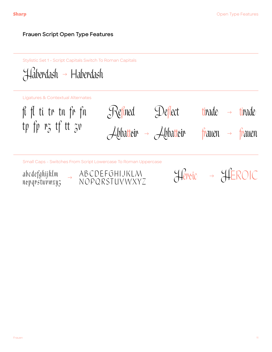#### **Frauen Script Open Type Features**

Stylistic Set 1 - Script Capitals Switch To Roman Capitals

 $\mathcal H$ áberdash  $\rightarrow$  Haberdash

Ligatures & Contextual Alternates

Abbattoir → Abbattoir fi fl ti tr tn fr fn tp fp rz tf tt zv  $\mathcal{S}$ Refined  $\mathcal{S}$ Deflect tirade  $\rightarrow$  tirade frauen → frauen

Small Caps - Switches From Script Lowercase To Roman Uppercase

abcdefghijklm nopqrstuvwxyz



Héroic - HE